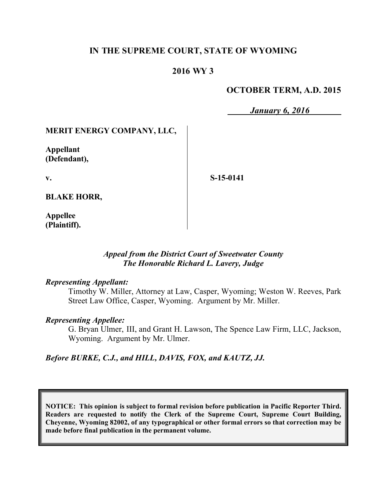## **IN THE SUPREME COURT, STATE OF WYOMING**

### **2016 WY 3**

### **OCTOBER TERM, A.D. 2015**

*January 6, 2016*

## **MERIT ENERGY COMPANY, LLC,**

**Appellant (Defendant),**

**v.**

**S-15-0141**

**BLAKE HORR,**

**Appellee (Plaintiff).**

#### *Appeal from the District Court of Sweetwater County The Honorable Richard L. Lavery, Judge*

#### *Representing Appellant:*

Timothy W. Miller, Attorney at Law, Casper, Wyoming; Weston W. Reeves, Park Street Law Office, Casper, Wyoming. Argument by Mr. Miller.

#### *Representing Appellee:*

G. Bryan Ulmer, III, and Grant H. Lawson, The Spence Law Firm, LLC, Jackson, Wyoming. Argument by Mr. Ulmer.

#### *Before BURKE, C.J., and HILL, DAVIS, FOX, and KAUTZ, JJ.*

**NOTICE: This opinion is subject to formal revision before publication in Pacific Reporter Third. Readers are requested to notify the Clerk of the Supreme Court, Supreme Court Building, Cheyenne, Wyoming 82002, of any typographical or other formal errors so that correction may be made before final publication in the permanent volume.**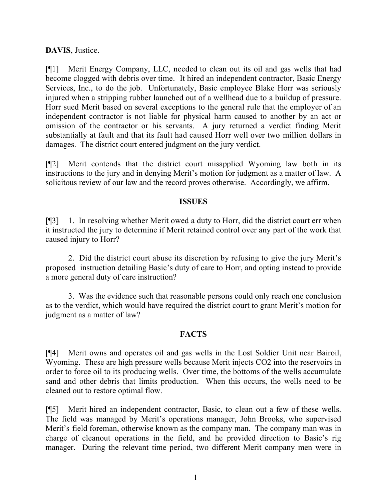**DAVIS**, Justice.

[¶1] Merit Energy Company, LLC, needed to clean out its oil and gas wells that had become clogged with debris over time. It hired an independent contractor, Basic Energy Services, Inc., to do the job. Unfortunately, Basic employee Blake Horr was seriously injured when a stripping rubber launched out of a wellhead due to a buildup of pressure. Horr sued Merit based on several exceptions to the general rule that the employer of an independent contractor is not liable for physical harm caused to another by an act or omission of the contractor or his servants. A jury returned a verdict finding Merit substantially at fault and that its fault had caused Horr well over two million dollars in damages. The district court entered judgment on the jury verdict.

[¶2] Merit contends that the district court misapplied Wyoming law both in its instructions to the jury and in denying Merit's motion for judgment as a matter of law. A solicitous review of our law and the record proves otherwise. Accordingly, we affirm.

#### **ISSUES**

[¶3] 1. In resolving whether Merit owed a duty to Horr, did the district court err when it instructed the jury to determine if Merit retained control over any part of the work that caused injury to Horr?

2. Did the district court abuse its discretion by refusing to give the jury Merit's proposed instruction detailing Basic's duty of care to Horr, and opting instead to provide a more general duty of care instruction?

3. Was the evidence such that reasonable persons could only reach one conclusion as to the verdict, which would have required the district court to grant Merit's motion for judgment as a matter of law?

#### **FACTS**

[¶4] Merit owns and operates oil and gas wells in the Lost Soldier Unit near Bairoil, Wyoming. These are high pressure wells because Merit injects CO2 into the reservoirs in order to force oil to its producing wells. Over time, the bottoms of the wells accumulate sand and other debris that limits production. When this occurs, the wells need to be cleaned out to restore optimal flow.

[¶5] Merit hired an independent contractor, Basic, to clean out a few of these wells. The field was managed by Merit's operations manager, John Brooks, who supervised Merit's field foreman, otherwise known as the company man. The company man was in charge of cleanout operations in the field, and he provided direction to Basic's rig manager. During the relevant time period, two different Merit company men were in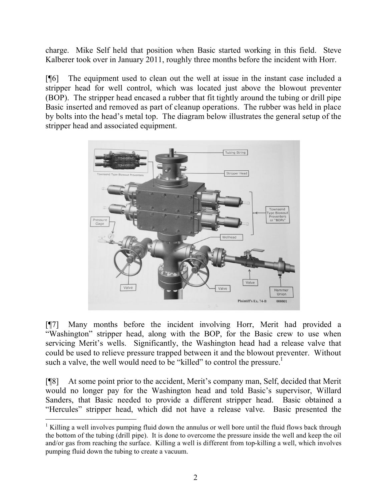charge. Mike Self held that position when Basic started working in this field. Steve Kalberer took over in January 2011, roughly three months before the incident with Horr.

[¶6] The equipment used to clean out the well at issue in the instant case included a stripper head for well control, which was located just above the blowout preventer (BOP). The stripper head encased a rubber that fit tightly around the tubing or drill pipe Basic inserted and removed as part of cleanup operations. The rubber was held in place by bolts into the head's metal top. The diagram below illustrates the general setup of the stripper head and associated equipment.



[¶7] Many months before the incident involving Horr, Merit had provided a "Washington" stripper head, along with the BOP, for the Basic crew to use when servicing Merit's wells. Significantly, the Washington head had a release valve that could be used to relieve pressure trapped between it and the blowout preventer. Without such a valve, the well would need to be "killed" to control the pressure.<sup>1</sup>

[¶8] At some point prior to the accident, Merit's company man, Self, decided that Merit would no longer pay for the Washington head and told Basic's supervisor, Willard Sanders, that Basic needed to provide a different stripper head. Basic obtained a "Hercules" stripper head, which did not have a release valve. Basic presented the

 $\overline{a}$ 

<sup>&</sup>lt;sup>1</sup> Killing a well involves pumping fluid down the annulus or well bore until the fluid flows back through the bottom of the tubing (drill pipe). It is done to overcome the pressure inside the well and keep the oil and/or gas from reaching the surface. Killing a well is different from top-killing a well, which involves pumping fluid down the tubing to create a vacuum.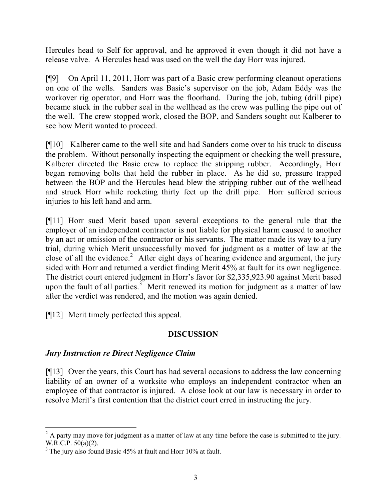Hercules head to Self for approval, and he approved it even though it did not have a release valve. A Hercules head was used on the well the day Horr was injured.

[¶9] On April 11, 2011, Horr was part of a Basic crew performing cleanout operations on one of the wells. Sanders was Basic's supervisor on the job, Adam Eddy was the workover rig operator, and Horr was the floorhand. During the job, tubing (drill pipe) became stuck in the rubber seal in the wellhead as the crew was pulling the pipe out of the well. The crew stopped work, closed the BOP, and Sanders sought out Kalberer to see how Merit wanted to proceed.

[¶10] Kalberer came to the well site and had Sanders come over to his truck to discuss the problem. Without personally inspecting the equipment or checking the well pressure, Kalberer directed the Basic crew to replace the stripping rubber. Accordingly, Horr began removing bolts that held the rubber in place. As he did so, pressure trapped between the BOP and the Hercules head blew the stripping rubber out of the wellhead and struck Horr while rocketing thirty feet up the drill pipe. Horr suffered serious injuries to his left hand and arm.

[¶11] Horr sued Merit based upon several exceptions to the general rule that the employer of an independent contractor is not liable for physical harm caused to another by an act or omission of the contractor or his servants. The matter made its way to a jury trial, during which Merit unsuccessfully moved for judgment as a matter of law at the close of all the evidence.<sup>2</sup> After eight days of hearing evidence and argument, the jury sided with Horr and returned a verdict finding Merit 45% at fault for its own negligence. The district court entered judgment in Horr's favor for \$2,335,923.90 against Merit based upon the fault of all parties.<sup>3</sup> Merit renewed its motion for judgment as a matter of law after the verdict was rendered, and the motion was again denied.

[¶12] Merit timely perfected this appeal.

# **DISCUSSION**

# *Jury Instruction re Direct Negligence Claim*

[¶13] Over the years, this Court has had several occasions to address the law concerning liability of an owner of a worksite who employs an independent contractor when an employee of that contractor is injured. A close look at our law is necessary in order to resolve Merit's first contention that the district court erred in instructing the jury.

  $2 \text{ A party may move for judgment as a matter of law at any time before the case is submitted to the jury.}$ W.R.C.P. 50(a)(2).

<sup>&</sup>lt;sup>3</sup> The jury also found Basic 45% at fault and Horr 10% at fault.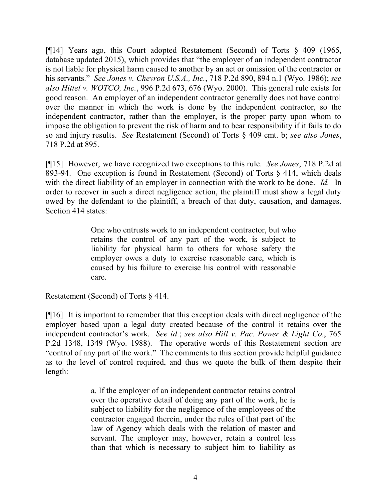[¶14] Years ago, this Court adopted Restatement (Second) of Torts § 409 (1965, database updated 2015), which provides that "the employer of an independent contractor is not liable for physical harm caused to another by an act or omission of the contractor or his servants." *See Jones v. Chevron U.S.A., Inc.*, 718 P.2d 890, 894 n.1 (Wyo. 1986); *see also Hittel v. WOTCO, Inc.*, 996 P.2d 673, 676 (Wyo. 2000). This general rule exists for good reason. An employer of an independent contractor generally does not have control over the manner in which the work is done by the independent contractor, so the independent contractor, rather than the employer, is the proper party upon whom to impose the obligation to prevent the risk of harm and to bear responsibility if it fails to do so and injury results. *See* Restatement (Second) of Torts § 409 cmt. b; *see also Jones*, 718 P.2d at 895.

[¶15] However, we have recognized two exceptions to this rule. *See Jones*, 718 P.2d at 893-94. One exception is found in Restatement (Second) of Torts § 414, which deals with the direct liability of an employer in connection with the work to be done. *Id.* In order to recover in such a direct negligence action, the plaintiff must show a legal duty owed by the defendant to the plaintiff, a breach of that duty, causation, and damages. Section 414 states:

> One who entrusts work to an independent contractor, but who retains the control of any part of the work, is subject to liability for physical harm to others for whose safety the employer owes a duty to exercise reasonable care, which is caused by his failure to exercise his control with reasonable care.

Restatement (Second) of Torts § 414.

[¶16] It is important to remember that this exception deals with direct negligence of the employer based upon a legal duty created because of the control it retains over the independent contractor's work. *See id.*; *see also Hill v. Pac. Power & Light Co.*, 765 P.2d 1348, 1349 (Wyo. 1988). The operative words of this Restatement section are "control of any part of the work." The comments to this section provide helpful guidance as to the level of control required, and thus we quote the bulk of them despite their length:

> a. If the employer of an independent contractor retains control over the operative detail of doing any part of the work, he is subject to liability for the negligence of the employees of the contractor engaged therein, under the rules of that part of the law of Agency which deals with the relation of master and servant. The employer may, however, retain a control less than that which is necessary to subject him to liability as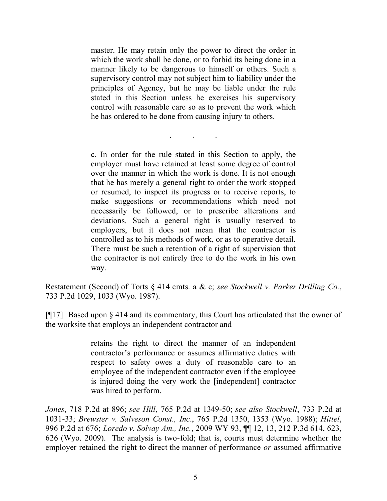master. He may retain only the power to direct the order in which the work shall be done, or to forbid its being done in a manner likely to be dangerous to himself or others. Such a supervisory control may not subject him to liability under the principles of Agency, but he may be liable under the rule stated in this Section unless he exercises his supervisory control with reasonable care so as to prevent the work which he has ordered to be done from causing injury to others.

. . .

c. In order for the rule stated in this Section to apply, the employer must have retained at least some degree of control over the manner in which the work is done. It is not enough that he has merely a general right to order the work stopped or resumed, to inspect its progress or to receive reports, to make suggestions or recommendations which need not necessarily be followed, or to prescribe alterations and deviations. Such a general right is usually reserved to employers, but it does not mean that the contractor is controlled as to his methods of work, or as to operative detail. There must be such a retention of a right of supervision that the contractor is not entirely free to do the work in his own way.

Restatement (Second) of Torts § 414 cmts. a & c; *see Stockwell v. Parker Drilling Co.*, 733 P.2d 1029, 1033 (Wyo. 1987).

[¶17] Based upon § 414 and its commentary, this Court has articulated that the owner of the worksite that employs an independent contractor and

> retains the right to direct the manner of an independent contractor's performance or assumes affirmative duties with respect to safety owes a duty of reasonable care to an employee of the independent contractor even if the employee is injured doing the very work the [independent] contractor was hired to perform.

*Jones*, 718 P.2d at 896; *see Hill*, 765 P.2d at 1349-50; *see also Stockwell*, 733 P.2d at 1031-33; *Brewster v. Salveson Const., Inc*., 765 P.2d 1350, 1353 (Wyo. 1988); *Hittel*, 996 P.2d at 676; *Loredo v. Solvay Am., Inc.*, 2009 WY 93, ¶¶ 12, 13, 212 P.3d 614, 623, 626 (Wyo. 2009). The analysis is two-fold; that is, courts must determine whether the employer retained the right to direct the manner of performance *or* assumed affirmative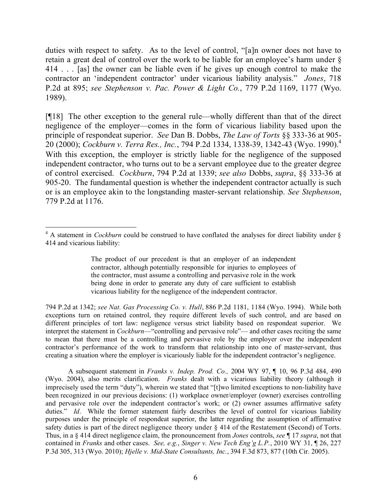duties with respect to safety. As to the level of control, "[a]n owner does not have to retain a great deal of control over the work to be liable for an employee's harm under § 414 . . . [as] the owner can be liable even if he gives up enough control to make the contractor an 'independent contractor' under vicarious liability analysis." *Jones*, 718 P.2d at 895; *see Stephenson v. Pac. Power & Light Co.*, 779 P.2d 1169, 1177 (Wyo. 1989).

[¶18] The other exception to the general rule—wholly different than that of the direct negligence of the employer—comes in the form of vicarious liability based upon the principle of respondeat superior. *See* Dan B. Dobbs, *The Law of Torts* §§ 333-36 at 905- 20 (2000); *Cockburn v. Terra Res., Inc.*, 794 P.2d 1334, 1338-39, 1342-43 (Wyo. 1990).<sup>4</sup> With this exception, the employer is strictly liable for the negligence of the supposed independent contractor, who turns out to be a servant employee due to the greater degree of control exercised. *Cockburn*, 794 P.2d at 1339; *see also* Dobbs, *supra*, §§ 333-36 at 905-20. The fundamental question is whether the independent contractor actually is such or is an employee akin to the longstanding master-servant relationship. *See Stephenson*, 779 P.2d at 1176.

794 P.2d at 1342; *see Nat. Gas Processing Co. v. Hull*, 886 P.2d 1181, 1184 (Wyo. 1994). While both exceptions turn on retained control, they require different levels of such control, and are based on different principles of tort law: negligence versus strict liability based on respondeat superior. We interpret the statement in *Cockburn*—"controlling and pervasive role"— and other cases reciting the same to mean that there must be a controlling and pervasive role by the employer over the independent contractor's performance of the work to transform that relationship into one of master-servant, thus creating a situation where the employer is vicariously liable for the independent contractor's negligence.

A subsequent statement in *Franks v. Indep. Prod. Co.,* 2004 WY 97, ¶ 10, 96 P.3d 484, 490 (Wyo. 2004), also merits clarification. *Franks* dealt with a vicarious liability theory (although it imprecisely used the term "duty"), wherein we stated that "[t]wo limited exceptions to non-liability have been recognized in our previous decisions: (1) workplace owner/employer (owner) exercises controlling and pervasive role over the independent contractor's work; or (2) owner assumes affirmative safety duties." *Id*. While the former statement fairly describes the level of control for vicarious liability purposes under the principle of respondeat superior, the latter regarding the assumption of affirmative safety duties is part of the direct negligence theory under § 414 of the Restatement (Second) of Torts. Thus, in a § 414 direct negligence claim, the pronouncement from *Jones* controls, *see* ¶ 17 *supra*, not that contained in *Franks* and other cases. *See, e.g.*, *Singer v. New Tech Eng'g L.P.*, 2010 WY 31, ¶ 26, 227 P.3d 305, 313 (Wyo. 2010); *Hjelle v. Mid-State Consultants, Inc.*, 394 F.3d 873, 877 (10th Cir. 2005).

 <sup>4</sup> A statement in *Cockburn* could be construed to have conflated the analyses for direct liability under § 414 and vicarious liability:

The product of our precedent is that an employer of an independent contractor, although potentially responsible for injuries to employees of the contractor, must assume a controlling and pervasive role in the work being done in order to generate any duty of care sufficient to establish vicarious liability for the negligence of the independent contractor.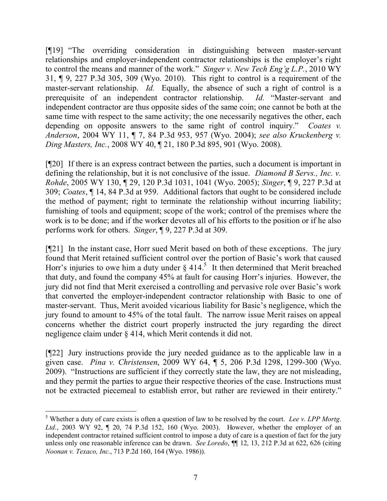[¶19] "The overriding consideration in distinguishing between master-servant relationships and employer-independent contractor relationships is the employer's right to control the means and manner of the work." *Singer v. New Tech Eng'g L.P.*, 2010 WY 31, ¶ 9, 227 P.3d 305, 309 (Wyo. 2010). This right to control is a requirement of the master-servant relationship. *Id.* Equally, the absence of such a right of control is a prerequisite of an independent contractor relationship. *Id.* "Master-servant and independent contractor are thus opposite sides of the same coin; one cannot be both at the same time with respect to the same activity; the one necessarily negatives the other, each depending on opposite answers to the same right of control inquiry." *Coates v. Anderson*, 2004 WY 11, ¶ 7, 84 P.3d 953, 957 (Wyo. 2004); *see also Kruckenberg v. Ding Masters, Inc.*, 2008 WY 40, ¶ 21, 180 P.3d 895, 901 (Wyo. 2008).

[¶20] If there is an express contract between the parties, such a document is important in defining the relationship, but it is not conclusive of the issue. *Diamond B Servs., Inc. v. Rohde*, 2005 WY 130, ¶ 29, 120 P.3d 1031, 1041 (Wyo. 2005); *Singer*, ¶ 9, 227 P.3d at 309; *Coates*, ¶ 14, 84 P.3d at 959. Additional factors that ought to be considered include the method of payment; right to terminate the relationship without incurring liability; furnishing of tools and equipment; scope of the work; control of the premises where the work is to be done; and if the worker devotes all of his efforts to the position or if he also performs work for others. *Singer*, ¶ 9, 227 P.3d at 309.

[¶21] In the instant case, Horr sued Merit based on both of these exceptions. The jury found that Merit retained sufficient control over the portion of Basic's work that caused Horr's injuries to owe him a duty under  $\S$  414.<sup>5</sup> It then determined that Merit breached that duty, and found the company 45% at fault for causing Horr's injuries. However, the jury did not find that Merit exercised a controlling and pervasive role over Basic's work that converted the employer-independent contractor relationship with Basic to one of master-servant. Thus, Merit avoided vicarious liability for Basic's negligence, which the jury found to amount to 45% of the total fault. The narrow issue Merit raises on appeal concerns whether the district court properly instructed the jury regarding the direct negligence claim under § 414, which Merit contends it did not.

[¶22] Jury instructions provide the jury needed guidance as to the applicable law in a given case. *Pina v. Christensen*, 2009 WY 64, ¶ 5, 206 P.3d 1298, 1299-300 (Wyo. 2009). "Instructions are sufficient if they correctly state the law, they are not misleading, and they permit the parties to argue their respective theories of the case. Instructions must not be extracted piecemeal to establish error, but rather are reviewed in their entirety."

<sup>5</sup> Whether a duty of care exists is often a question of law to be resolved by the court. *Lee v. LPP Mortg. Ltd.*, 2003 WY 92, ¶ 20, 74 P.3d 152, 160 (Wyo. 2003). However, whether the employer of an independent contractor retained sufficient control to impose a duty of care is a question of fact for the jury unless only one reasonable inference can be drawn. *See Loredo*, ¶¶ 12, 13, 212 P.3d at 622, 626 (citing *Noonan v. Texaco, Inc.*, 713 P.2d 160, 164 (Wyo. 1986)).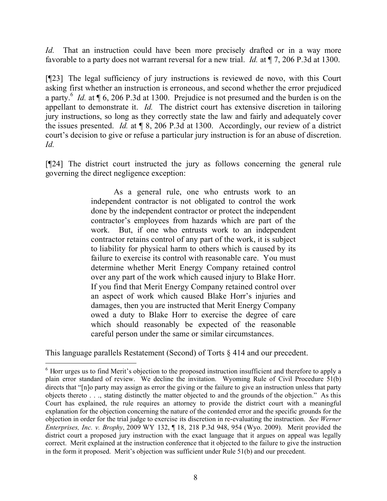*Id.* That an instruction could have been more precisely drafted or in a way more favorable to a party does not warrant reversal for a new trial. *Id.* at ¶ 7, 206 P.3d at 1300.

[¶23] The legal sufficiency of jury instructions is reviewed de novo, with this Court asking first whether an instruction is erroneous, and second whether the error prejudiced a party.<sup>6</sup> *Id.* at  $\P$  6, 206 P.3d at 1300. Prejudice is not presumed and the burden is on the appellant to demonstrate it. *Id.* The district court has extensive discretion in tailoring jury instructions, so long as they correctly state the law and fairly and adequately cover the issues presented. *Id.* at ¶ 8, 206 P.3d at 1300. Accordingly, our review of a district court's decision to give or refuse a particular jury instruction is for an abuse of discretion. *Id.*

[¶24] The district court instructed the jury as follows concerning the general rule governing the direct negligence exception:

> As a general rule, one who entrusts work to an independent contractor is not obligated to control the work done by the independent contractor or protect the independent contractor's employees from hazards which are part of the work. But, if one who entrusts work to an independent contractor retains control of any part of the work, it is subject to liability for physical harm to others which is caused by its failure to exercise its control with reasonable care. You must determine whether Merit Energy Company retained control over any part of the work which caused injury to Blake Horr. If you find that Merit Energy Company retained control over an aspect of work which caused Blake Horr's injuries and damages, then you are instructed that Merit Energy Company owed a duty to Blake Horr to exercise the degree of care which should reasonably be expected of the reasonable careful person under the same or similar circumstances.

This language parallels Restatement (Second) of Torts § 414 and our precedent.

<sup>&</sup>lt;sup>6</sup> Horr urges us to find Merit's objection to the proposed instruction insufficient and therefore to apply a plain error standard of review. We decline the invitation. Wyoming Rule of Civil Procedure 51(b) directs that "[n]o party may assign as error the giving or the failure to give an instruction unless that party objects thereto . . ., stating distinctly the matter objected to and the grounds of the objection." As this Court has explained, the rule requires an attorney to provide the district court with a meaningful explanation for the objection concerning the nature of the contended error and the specific grounds for the objection in order for the trial judge to exercise its discretion in re-evaluating the instruction. *See Werner Enterprises, Inc. v. Brophy*, 2009 WY 132, ¶ 18, 218 P.3d 948, 954 (Wyo. 2009). Merit provided the district court a proposed jury instruction with the exact language that it argues on appeal was legally correct. Merit explained at the instruction conference that it objected to the failure to give the instruction in the form it proposed. Merit's objection was sufficient under Rule 51(b) and our precedent.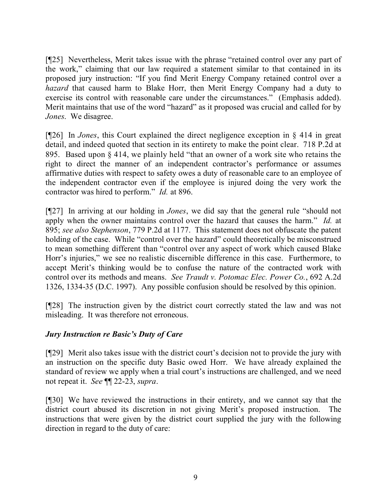[¶25] Nevertheless, Merit takes issue with the phrase "retained control over any part of the work," claiming that our law required a statement similar to that contained in its proposed jury instruction: "If you find Merit Energy Company retained control over a *hazard* that caused harm to Blake Horr, then Merit Energy Company had a duty to exercise its control with reasonable care under the circumstances." (Emphasis added). Merit maintains that use of the word "hazard" as it proposed was crucial and called for by *Jones*. We disagree.

[¶26] In *Jones*, this Court explained the direct negligence exception in § 414 in great detail, and indeed quoted that section in its entirety to make the point clear. 718 P.2d at 895. Based upon § 414, we plainly held "that an owner of a work site who retains the right to direct the manner of an independent contractor's performance or assumes affirmative duties with respect to safety owes a duty of reasonable care to an employee of the independent contractor even if the employee is injured doing the very work the contractor was hired to perform." *Id.* at 896.

[¶27] In arriving at our holding in *Jones*, we did say that the general rule "should not apply when the owner maintains control over the hazard that causes the harm." *Id.* at 895; *see also Stephenson*, 779 P.2d at 1177. This statement does not obfuscate the patent holding of the case. While "control over the hazard" could theoretically be misconstrued to mean something different than "control over any aspect of work which caused Blake Horr's injuries," we see no realistic discernible difference in this case. Furthermore, to accept Merit's thinking would be to confuse the nature of the contracted work with control over its methods and means. *See Traudt v. Potomac Elec. Power Co.*, 692 A.2d 1326, 1334-35 (D.C. 1997). Any possible confusion should be resolved by this opinion.

[¶28] The instruction given by the district court correctly stated the law and was not misleading. It was therefore not erroneous.

#### *Jury Instruction re Basic's Duty of Care*

[¶29] Merit also takes issue with the district court's decision not to provide the jury with an instruction on the specific duty Basic owed Horr. We have already explained the standard of review we apply when a trial court's instructions are challenged, and we need not repeat it. *See* ¶¶ 22-23, *supra*.

[¶30] We have reviewed the instructions in their entirety, and we cannot say that the district court abused its discretion in not giving Merit's proposed instruction. The instructions that were given by the district court supplied the jury with the following direction in regard to the duty of care: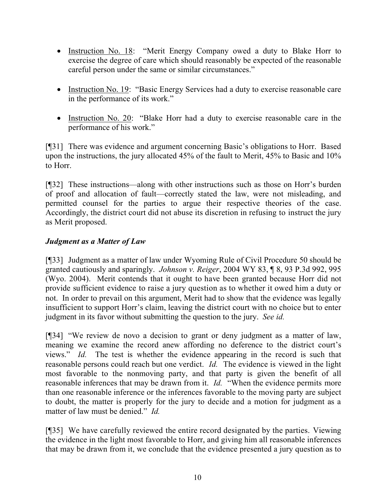- Instruction No. 18: "Merit Energy Company owed a duty to Blake Horr to exercise the degree of care which should reasonably be expected of the reasonable careful person under the same or similar circumstances."
- Instruction No. 19: "Basic Energy Services had a duty to exercise reasonable care in the performance of its work."
- Instruction No. 20: "Blake Horr had a duty to exercise reasonable care in the performance of his work."

[¶31] There was evidence and argument concerning Basic's obligations to Horr. Based upon the instructions, the jury allocated 45% of the fault to Merit, 45% to Basic and 10% to Horr.

[¶32] These instructions—along with other instructions such as those on Horr's burden of proof and allocation of fault—correctly stated the law, were not misleading, and permitted counsel for the parties to argue their respective theories of the case. Accordingly, the district court did not abuse its discretion in refusing to instruct the jury as Merit proposed.

# *Judgment as a Matter of Law*

[¶33] Judgment as a matter of law under Wyoming Rule of Civil Procedure 50 should be granted cautiously and sparingly. *Johnson v. Reiger*, 2004 WY 83, ¶ 8, 93 P.3d 992, 995 (Wyo. 2004). Merit contends that it ought to have been granted because Horr did not provide sufficient evidence to raise a jury question as to whether it owed him a duty or not. In order to prevail on this argument, Merit had to show that the evidence was legally insufficient to support Horr's claim, leaving the district court with no choice but to enter judgment in its favor without submitting the question to the jury. *See id.*

[¶34] "We review de novo a decision to grant or deny judgment as a matter of law, meaning we examine the record anew affording no deference to the district court's views." *Id.* The test is whether the evidence appearing in the record is such that reasonable persons could reach but one verdict. *Id.* The evidence is viewed in the light most favorable to the nonmoving party, and that party is given the benefit of all reasonable inferences that may be drawn from it. *Id.* "When the evidence permits more than one reasonable inference or the inferences favorable to the moving party are subject to doubt, the matter is properly for the jury to decide and a motion for judgment as a matter of law must be denied." *Id.*

[¶35] We have carefully reviewed the entire record designated by the parties. Viewing the evidence in the light most favorable to Horr, and giving him all reasonable inferences that may be drawn from it, we conclude that the evidence presented a jury question as to